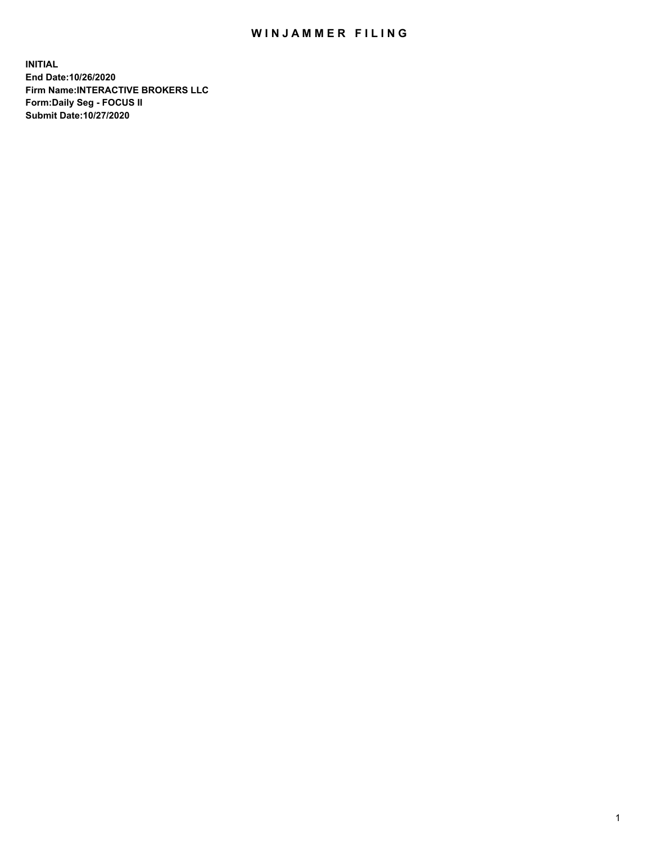## WIN JAMMER FILING

**INITIAL End Date:10/26/2020 Firm Name:INTERACTIVE BROKERS LLC Form:Daily Seg - FOCUS II Submit Date:10/27/2020**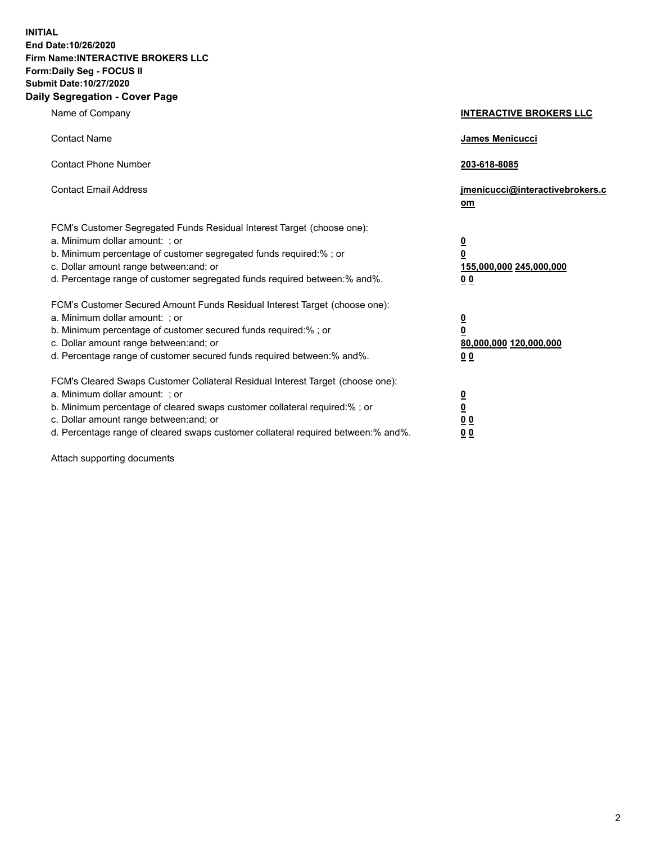**INITIAL End Date:10/26/2020 Firm Name:INTERACTIVE BROKERS LLC Form:Daily Seg - FOCUS II Submit Date:10/27/2020 Daily Segregation - Cover Page**

| Name of Company                                                                                                                                                                                                                                                                                                                | <b>INTERACTIVE BROKERS LLC</b>                                                  |  |
|--------------------------------------------------------------------------------------------------------------------------------------------------------------------------------------------------------------------------------------------------------------------------------------------------------------------------------|---------------------------------------------------------------------------------|--|
| <b>Contact Name</b>                                                                                                                                                                                                                                                                                                            | James Menicucci                                                                 |  |
| <b>Contact Phone Number</b>                                                                                                                                                                                                                                                                                                    | 203-618-8085                                                                    |  |
| <b>Contact Email Address</b>                                                                                                                                                                                                                                                                                                   | jmenicucci@interactivebrokers.c<br>om                                           |  |
| FCM's Customer Segregated Funds Residual Interest Target (choose one):<br>a. Minimum dollar amount: ; or<br>b. Minimum percentage of customer segregated funds required:%; or<br>c. Dollar amount range between: and; or<br>d. Percentage range of customer segregated funds required between:% and%.                          | <u>0</u><br>$\overline{\mathbf{0}}$<br>155,000,000 245,000,000<br><u>00</u>     |  |
| FCM's Customer Secured Amount Funds Residual Interest Target (choose one):<br>a. Minimum dollar amount: ; or<br>b. Minimum percentage of customer secured funds required:% ; or<br>c. Dollar amount range between: and; or<br>d. Percentage range of customer secured funds required between:% and%.                           | <u>0</u><br>$\overline{\mathbf{0}}$<br>80,000,000 120,000,000<br>0 <sub>0</sub> |  |
| FCM's Cleared Swaps Customer Collateral Residual Interest Target (choose one):<br>a. Minimum dollar amount: ; or<br>b. Minimum percentage of cleared swaps customer collateral required:% ; or<br>c. Dollar amount range between: and; or<br>d. Percentage range of cleared swaps customer collateral required between:% and%. | <u>0</u><br>$\underline{\mathbf{0}}$<br>0 <sub>0</sub><br>0 <sub>0</sub>        |  |

Attach supporting documents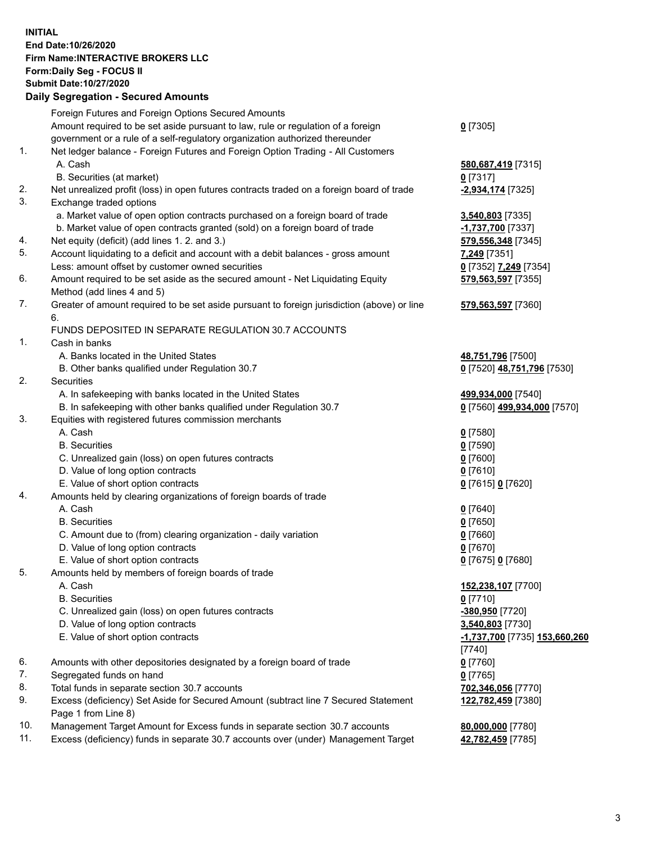**INITIAL End Date:10/26/2020 Firm Name:INTERACTIVE BROKERS LLC Form:Daily Seg - FOCUS II Submit Date:10/27/2020 Daily Segregation - Secured Amounts**

## Foreign Futures and Foreign Options Secured Amounts Amount required to be set aside pursuant to law, rule or regulation of a foreign government or a rule of a self-regulatory organization authorized thereunder **0** [7305] 1. Net ledger balance - Foreign Futures and Foreign Option Trading - All Customers A. Cash **580,687,419** [7315] B. Securities (at market) **0** [7317] 2. Net unrealized profit (loss) in open futures contracts traded on a foreign board of trade **-2,934,174** [7325] 3. Exchange traded options a. Market value of open option contracts purchased on a foreign board of trade **3,540,803** [7335] b. Market value of open contracts granted (sold) on a foreign board of trade **-1,737,700** [7337] 4. Net equity (deficit) (add lines 1. 2. and 3.) **579,556,348** [7345] 5. Account liquidating to a deficit and account with a debit balances - gross amount **7,249** [7351] Less: amount offset by customer owned securities **0** [7352] **7,249** [7354] 6. Amount required to be set aside as the secured amount - Net Liquidating Equity Method (add lines 4 and 5) **579,563,597** [7355] 7. Greater of amount required to be set aside pursuant to foreign jurisdiction (above) or line 6. **579,563,597** [7360] FUNDS DEPOSITED IN SEPARATE REGULATION 30.7 ACCOUNTS 1. Cash in banks A. Banks located in the United States **48,751,796** [7500] B. Other banks qualified under Regulation 30.7 **0** [7520] **48,751,796** [7530] 2. Securities A. In safekeeping with banks located in the United States **499,934,000** [7540] B. In safekeeping with other banks qualified under Regulation 30.7 **0** [7560] **499,934,000** [7570] 3. Equities with registered futures commission merchants A. Cash **0** [7580] B. Securities **0** [7590] C. Unrealized gain (loss) on open futures contracts **0** [7600] D. Value of long option contracts **0** [7610] E. Value of short option contracts **0** [7615] **0** [7620] 4. Amounts held by clearing organizations of foreign boards of trade A. Cash **0** [7640] B. Securities **0** [7650] C. Amount due to (from) clearing organization - daily variation **0** [7660] D. Value of long option contracts **0** [7670] E. Value of short option contracts **0** [7675] **0** [7680] 5. Amounts held by members of foreign boards of trade A. Cash **152,238,107** [7700] B. Securities **0** [7710] C. Unrealized gain (loss) on open futures contracts **-380,950** [7720] D. Value of long option contracts **3,540,803** [7730] E. Value of short option contracts **-1,737,700** [7735] **153,660,260** [7740] 6. Amounts with other depositories designated by a foreign board of trade **0** [7760] 7. Segregated funds on hand **0** [7765] 8. Total funds in separate section 30.7 accounts **702,346,056** [7770] 9. Excess (deficiency) Set Aside for Secured Amount (subtract line 7 Secured Statement Page 1 from Line 8) **122,782,459** [7380] 10. Management Target Amount for Excess funds in separate section 30.7 accounts **80,000,000** [7780] 11. Excess (deficiency) funds in separate 30.7 accounts over (under) Management Target **42,782,459** [7785]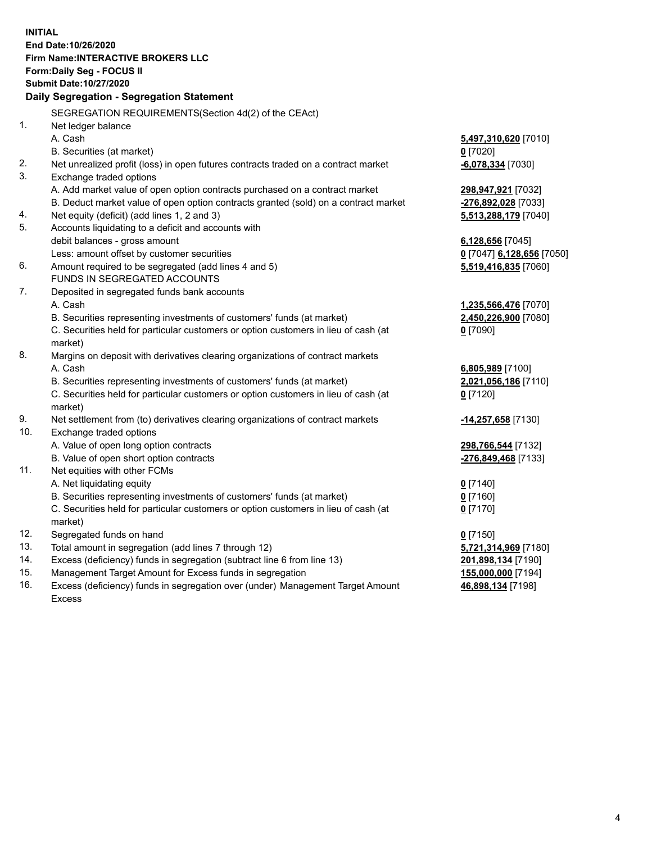**INITIAL End Date:10/26/2020 Firm Name:INTERACTIVE BROKERS LLC Form:Daily Seg - FOCUS II Submit Date:10/27/2020 Daily Segregation - Segregation Statement** SEGREGATION REQUIREMENTS(Section 4d(2) of the CEAct) 1. Net ledger balance A. Cash **5,497,310,620** [7010] B. Securities (at market) **0** [7020] 2. Net unrealized profit (loss) in open futures contracts traded on a contract market **-6,078,334** [7030] 3. Exchange traded options A. Add market value of open option contracts purchased on a contract market **298,947,921** [7032] B. Deduct market value of open option contracts granted (sold) on a contract market **-276,892,028** [7033] 4. Net equity (deficit) (add lines 1, 2 and 3) **5,513,288,179** [7040] 5. Accounts liquidating to a deficit and accounts with debit balances - gross amount **6,128,656** [7045] Less: amount offset by customer securities **0** [7047] **6,128,656** [7050] 6. Amount required to be segregated (add lines 4 and 5) **5,519,416,835** [7060] FUNDS IN SEGREGATED ACCOUNTS 7. Deposited in segregated funds bank accounts A. Cash **1,235,566,476** [7070] B. Securities representing investments of customers' funds (at market) **2,450,226,900** [7080] C. Securities held for particular customers or option customers in lieu of cash (at market) **0** [7090] 8. Margins on deposit with derivatives clearing organizations of contract markets A. Cash **6,805,989** [7100] B. Securities representing investments of customers' funds (at market) **2,021,056,186** [7110] C. Securities held for particular customers or option customers in lieu of cash (at market) **0** [7120] 9. Net settlement from (to) derivatives clearing organizations of contract markets **-14,257,658** [7130] 10. Exchange traded options A. Value of open long option contracts **298,766,544** [7132] B. Value of open short option contracts **-276,849,468** [7133] 11. Net equities with other FCMs A. Net liquidating equity **0** [7140] B. Securities representing investments of customers' funds (at market) **0** [7160] C. Securities held for particular customers or option customers in lieu of cash (at market) **0** [7170] 12. Segregated funds on hand **0** [7150] 13. Total amount in segregation (add lines 7 through 12) **5,721,314,969** [7180] 14. Excess (deficiency) funds in segregation (subtract line 6 from line 13) **201,898,134** [7190] 15. Management Target Amount for Excess funds in segregation **155,000,000** [7194] 16. Excess (deficiency) funds in segregation over (under) Management Target Amount **46,898,134** [7198]

Excess